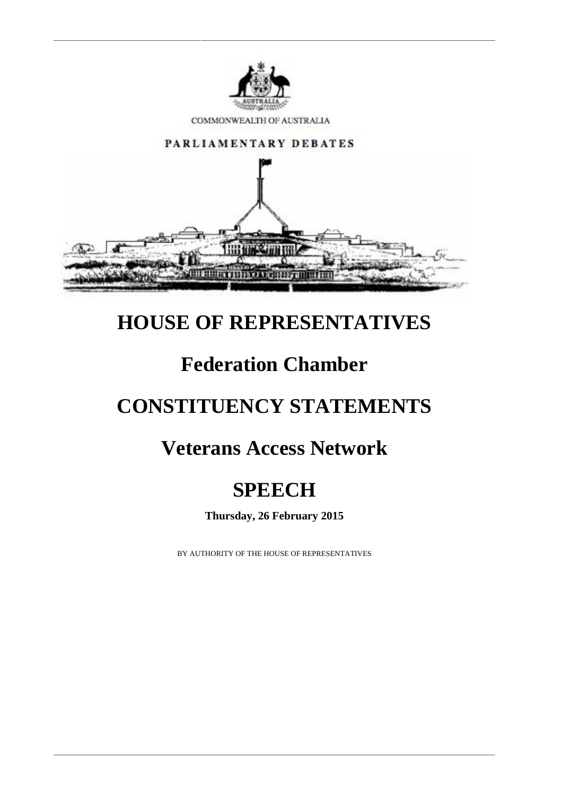

COMMONWEALTH OF AUSTRALIA



## **HOUSE OF REPRESENTATIVES**

# **Federation Chamber**

# **CONSTITUENCY STATEMENTS**

### **Veterans Access Network**

# **SPEECH**

**Thursday, 26 February 2015**

BY AUTHORITY OF THE HOUSE OF REPRESENTATIVES